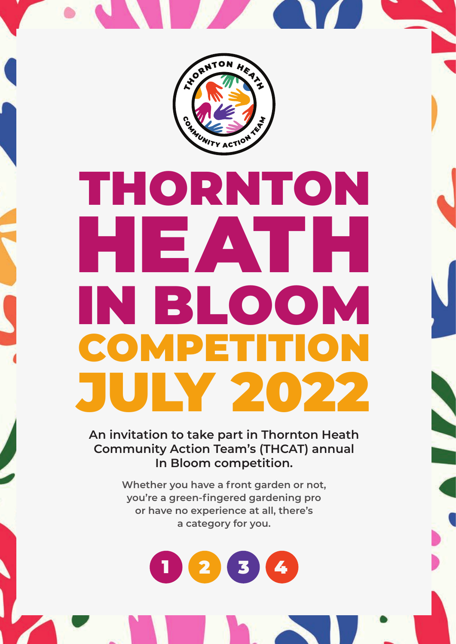

# THORNTON HEATH IN BLOOM **COMPETITI** JULY 2022

**An invitation to take part in Thornton Heath Community Action Team's (THCAT) annual In Bloom competition.** 

**September 18** 

**Whether you have a front garden or not, you're a green-fingered gardening pro or have no experience at all, there's a category for you.**

 $^{\prime}$  3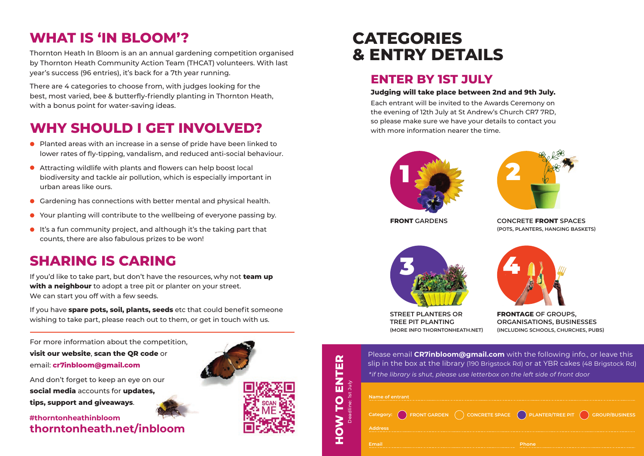### **WHAT IS 'IN BLOOM'?**

Thornton Heath In Bloom is an an annual gardening competition organised by Thornton Heath Community Action Team (THCAT) volunteers. With last year's success (96 entries), it's back for a 7th year running.

There are 4 categories to choose from, with judges looking for the best, most varied, bee & butterfly-friendly planting in Thornton Heath, with a bonus point for water-saving ideas.

## **WHY SHOULD I GET INVOLVED?**

- Planted areas with an increase in a sense of pride have been linked to lower rates of fly-tipping, vandalism, and reduced anti-social behaviour.
- Attracting wildlife with plants and flowers can help boost local biodiversity and tackle air pollution, which is especially important in urban areas like ours.
- Gardening has connections with better mental and physical health.
- Your planting will contribute to the wellbeing of everyone passing by.
- It's a fun community project, and although it's the taking part that counts, there are also fabulous prizes to be won!

### **SHARING IS CARING**

If you'd like to take part, but don't have the resources, why not **team up with a neighbour** to adopt a tree pit or planter on your street. We can start you off with a few seeds.

If you have **spare pots, soil, plants, seeds** etc that could benefit someone wishing to take part, please reach out to them, or get in touch with us.

For more information about the competition, **visit our website**, **scan the QR code** or email: **cr7inbloom@gmail.com**

And don't forget to keep an eye on our **social media** accounts for **updates, tips, support and giveaways**.

**thorntonheath.net/inbloom #thorntonheathinbloom**



**HOW TO ENTER**

 $\overline{P}$ 

NOH

ENTER

Deadline: 1st July

# **CATEGORIES & ENTRY DETAILS**

### **ENTER BY 1ST JULY**

#### **Judging will take place between 2nd and 9th July.**

Each entrant will be invited to the Awards Ceremony on the evening of 12th July at St Andrew's Church CR7 7RD, so please make sure we have your details to contact you with more information nearer the time.





**FRONT GARDENS CONCRETE FRONT SPACES (POTS, PLANTERS, HANGING BASKETS)**



**STREET PLANTERS OR TREE PIT PLANTING (MORE INFO THORNTONHEATH.NET)**



**FRONTAGE OF GROUPS, ORGANISATIONS, BUSINESSES (INCLUDING SCHOOLS, CHURCHES, PUBS)**

| Please email CR7inbloom@gmail.com with the following info., or leave this               |
|-----------------------------------------------------------------------------------------|
| slip in the box at the library (190 Brigstock Rd) or at YBR cakes (48 Brigstock Rd)     |
| $\mathbf{R}^*$ the library is shut, please use letterbox on the left side of front door |

|                |  | Category: $\bigcap$ FRONT GARDEN $\bigcap$ CONCRETE SPACE $\bigcap$ PLANTER/TREE PIT $\bigcap$ GROUP/BUSINESS |  |
|----------------|--|---------------------------------------------------------------------------------------------------------------|--|
| <b>Address</b> |  |                                                                                                               |  |